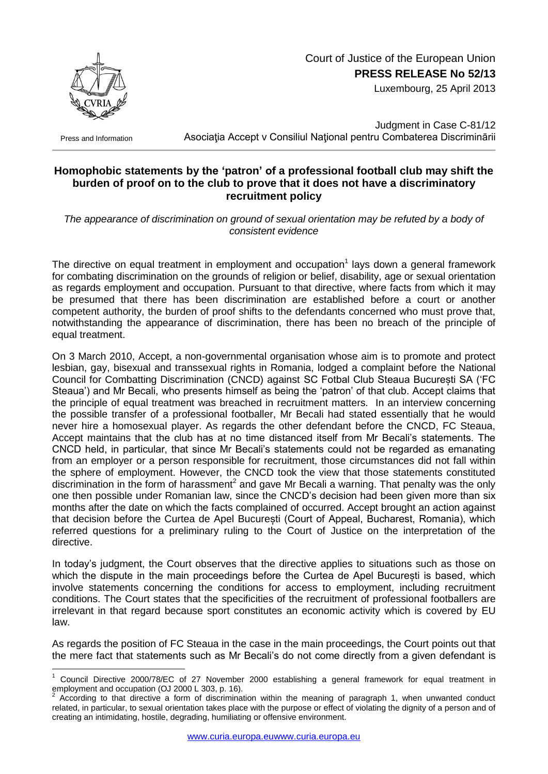

## Court of Justice of the European Union **PRESS RELEASE No 52/13**

Luxembourg, 25 April 2013

Press and Information

1

Judgment in Case C-81/12 Asociația Accept v Consiliul Național pentru Combaterea Discriminārii

## **Homophobic statements by the 'patron' of a professional football club may shift the burden of proof on to the club to prove that it does not have a discriminatory recruitment policy**

*The appearance of discrimination on ground of sexual orientation may be refuted by a body of consistent evidence*

The directive on equal treatment in employment and occupation<sup>1</sup> lays down a general framework for combating discrimination on the grounds of religion or belief, disability, age or sexual orientation as regards employment and occupation. Pursuant to that directive, where facts from which it may be presumed that there has been discrimination are established before a court or another competent authority, the burden of proof shifts to the defendants concerned who must prove that, notwithstanding the appearance of discrimination, there has been no breach of the principle of equal treatment.

On 3 March 2010, Accept, a non-governmental organisation whose aim is to promote and protect lesbian, gay, bisexual and transsexual rights in Romania, lodged a complaint before the National Council for Combatting Discrimination (CNCD) against SC Fotbal Club Steaua București SA ('FC Steaua') and Mr Becali, who presents himself as being the 'patron' of that club. Accept claims that the principle of equal treatment was breached in recruitment matters. In an interview concerning the possible transfer of a professional footballer, Mr Becali had stated essentially that he would never hire a homosexual player. As regards the other defendant before the CNCD, FC Steaua, Accept maintains that the club has at no time distanced itself from Mr Becali's statements. The CNCD held, in particular, that since Mr Becali's statements could not be regarded as emanating from an employer or a person responsible for recruitment, those circumstances did not fall within the sphere of employment. However, the CNCD took the view that those statements constituted discrimination in the form of harassment<sup>2</sup> and gave Mr Becali a warning. That penalty was the only one then possible under Romanian law, since the CNCD's decision had been given more than six months after the date on which the facts complained of occurred. Accept brought an action against that decision before the Curtea de Apel București (Court of Appeal, Bucharest, Romania), which referred questions for a preliminary ruling to the Court of Justice on the interpretation of the directive.

In today's judgment, the Court observes that the directive applies to situations such as those on which the dispute in the main proceedings before the Curtea de Apel București is based, which involve statements concerning the conditions for access to employment, including recruitment conditions. The Court states that the specificities of the recruitment of professional footballers are irrelevant in that regard because sport constitutes an economic activity which is covered by EU law.

As regards the position of FC Steaua in the case in the main proceedings, the Court points out that the mere fact that statements such as Mr Becali's do not come directly from a given defendant is

Council Directive 2000/78/EC of 27 November 2000 establishing a general framework for equal treatment in employment and occupation (OJ 2000 L 303, p. 16).<br><sup>2</sup> According to that directive a farm of discriming

According to that directive a form of discrimination within the meaning of paragraph 1, when unwanted conduct related, in particular, to sexual orientation takes place with the purpose or effect of violating the dignity of a person and of creating an intimidating, hostile, degrading, humiliating or offensive environment.